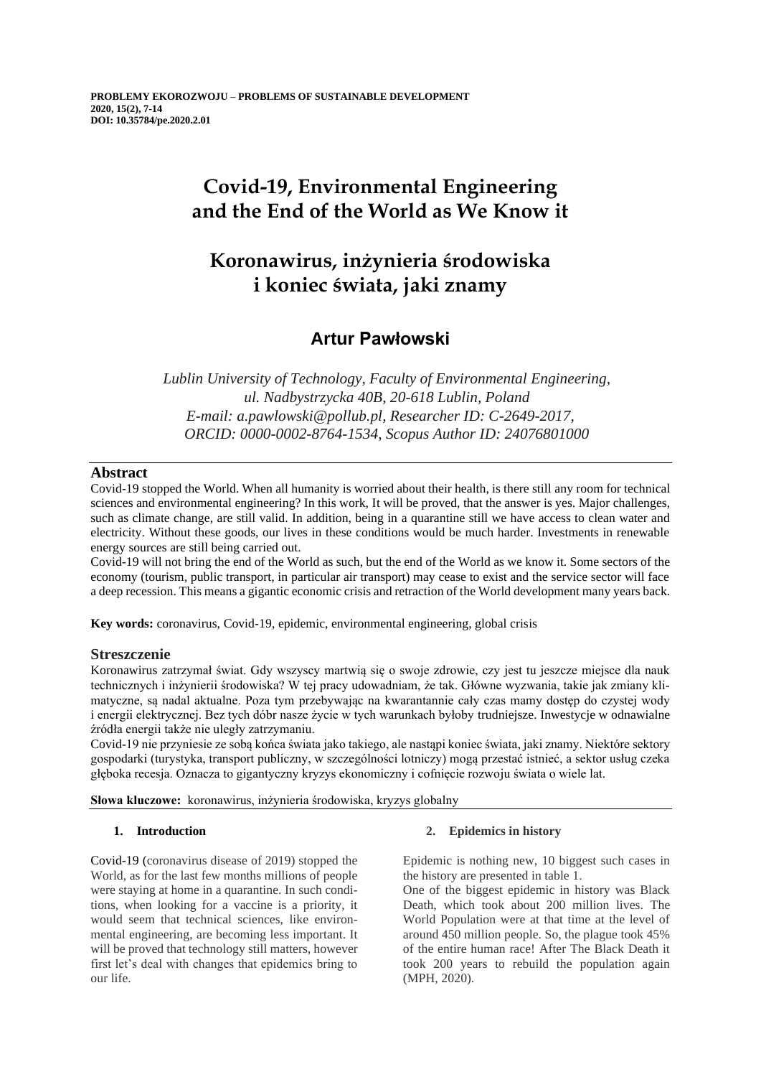# **Covid-19, Environmental Engineering and the End of the World as We Know it**

# **Koronawirus, inżynieria środowiska i koniec świata, jaki znamy**

# **Artur Pawłowski**

*Lublin University of Technology, Faculty of Environmental Engineering, ul. Nadbystrzycka 40B, 20-618 Lublin, Poland E-mail: a.pawlowski@pollub.pl, Researcher ID: C-2649-2017, ORCID: 0000-0002-8764-1534, Scopus Author ID: 24076801000*

# **Abstract**

Covid-19 stopped the World. When all humanity is worried about their health, is there still any room for technical sciences and environmental engineering? In this work, It will be proved, that the answer is yes. Major challenges, such as climate change, are still valid. In addition, being in a quarantine still we have access to clean water and electricity. Without these goods, our lives in these conditions would be much harder. Investments in renewable energy sources are still being carried out.

Covid-19 will not bring the end of the World as such, but the end of the World as we know it. Some sectors of the economy (tourism, public transport, in particular air transport) may cease to exist and the service sector will face a deep recession. This means a gigantic economic crisis and retraction of the World development many years back.

**Key words:** coronavirus, Covid-19, epidemic, environmental engineering, global crisis

# **Streszczenie**

Koronawirus zatrzymał świat. Gdy wszyscy martwią się o swoje zdrowie, czy jest tu jeszcze miejsce dla nauk technicznych i inżynierii środowiska? W tej pracy udowadniam, że tak. Główne wyzwania, takie jak zmiany klimatyczne, są nadal aktualne. Poza tym przebywając na kwarantannie cały czas mamy dostęp do czystej wody i energii elektrycznej. Bez tych dóbr nasze życie w tych warunkach byłoby trudniejsze. Inwestycje w odnawialne źródła energii także nie uległy zatrzymaniu.

Covid-19 nie przyniesie ze sobą końca świata jako takiego, ale nastąpi koniec świata, jaki znamy. Niektóre sektory gospodarki (turystyka, transport publiczny, w szczególności lotniczy) mogą przestać istnieć, a sektor usług czeka głęboka recesja. Oznacza to gigantyczny kryzys ekonomiczny i cofnięcie rozwoju świata o wiele lat.

**Słowa kluczowe:** koronawirus, inżynieria środowiska, kryzys globalny

# **1. Introduction**

Covid-19 (coronavirus disease of 2019) stopped the World, as for the last few months millions of people were staying at home in a quarantine. In such conditions, when looking for a vaccine is a priority, it would seem that technical sciences, like environmental engineering, are becoming less important. It will be proved that technology still matters, however first let's deal with changes that epidemics bring to our life.

# **2. Epidemics in history**

Epidemic is nothing new, 10 biggest such cases in the history are presented in table 1.

One of the biggest epidemic in history was Black Death, which took about 200 million lives. The World Population were at that time at the level of around 450 million people. So, the plague took 45% of the entire human race! After The Black Death it took 200 years to rebuild the population again (MPH, 2020).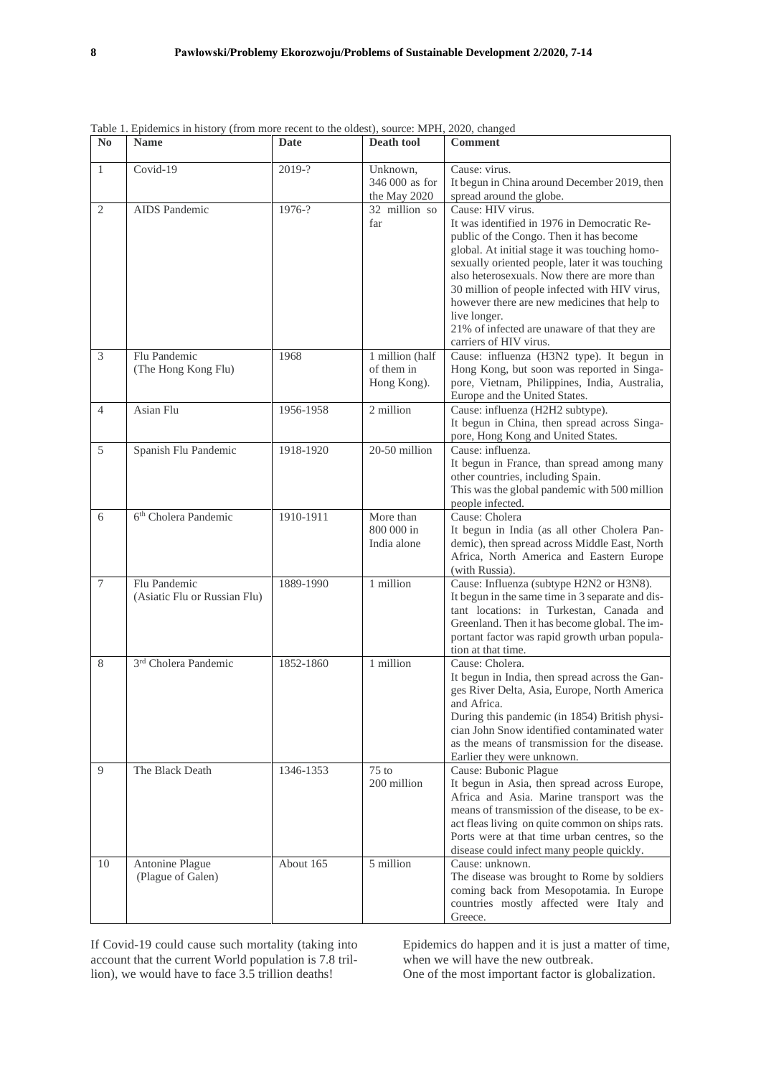| N <sub>0</sub>   | <b>Name</b>                                  | Date      | Death tool                                   | <b>Comment</b>                                                                                                                                                                                                                                                                                                                                                                                                                                             |
|------------------|----------------------------------------------|-----------|----------------------------------------------|------------------------------------------------------------------------------------------------------------------------------------------------------------------------------------------------------------------------------------------------------------------------------------------------------------------------------------------------------------------------------------------------------------------------------------------------------------|
| $\mathbf{1}$     | Covid-19                                     | 2019-?    | Unknown,<br>346 000 as for<br>the May 2020   | Cause: virus.<br>It begun in China around December 2019, then<br>spread around the globe.                                                                                                                                                                                                                                                                                                                                                                  |
| $\mathbf{2}$     | AIDS Pandemic                                | 1976-?    | 32 million so<br>far                         | Cause: HIV virus.<br>It was identified in 1976 in Democratic Re-<br>public of the Congo. Then it has become<br>global. At initial stage it was touching homo-<br>sexually oriented people, later it was touching<br>also heterosexuals. Now there are more than<br>30 million of people infected with HIV virus,<br>however there are new medicines that help to<br>live longer.<br>21% of infected are unaware of that they are<br>carriers of HIV virus. |
| $\mathfrak{Z}$   | Flu Pandemic<br>(The Hong Kong Flu)          | 1968      | 1 million (half<br>of them in<br>Hong Kong). | Cause: influenza (H3N2 type). It begun in<br>Hong Kong, but soon was reported in Singa-<br>pore, Vietnam, Philippines, India, Australia,<br>Europe and the United States.                                                                                                                                                                                                                                                                                  |
| $\overline{4}$   | Asian Flu                                    | 1956-1958 | 2 million                                    | Cause: influenza (H2H2 subtype).<br>It begun in China, then spread across Singa-<br>pore, Hong Kong and United States.                                                                                                                                                                                                                                                                                                                                     |
| $\sqrt{5}$       | Spanish Flu Pandemic                         | 1918-1920 | 20-50 million                                | Cause: influenza.<br>It begun in France, than spread among many<br>other countries, including Spain.<br>This was the global pandemic with 500 million<br>people infected.                                                                                                                                                                                                                                                                                  |
| 6                | 6 <sup>th</sup> Cholera Pandemic             | 1910-1911 | More than<br>800 000 in<br>India alone       | Cause: Cholera<br>It begun in India (as all other Cholera Pan-<br>demic), then spread across Middle East, North<br>Africa, North America and Eastern Europe<br>(with Russia).                                                                                                                                                                                                                                                                              |
| $\boldsymbol{7}$ | Flu Pandemic<br>(Asiatic Flu or Russian Flu) | 1889-1990 | 1 million                                    | Cause: Influenza (subtype H2N2 or H3N8).<br>It begun in the same time in 3 separate and dis-<br>tant locations: in Turkestan, Canada and<br>Greenland. Then it has become global. The im-<br>portant factor was rapid growth urban popula-<br>tion at that time.                                                                                                                                                                                           |
| 8                | 3 <sup>rd</sup> Cholera Pandemic             | 1852-1860 | 1 million                                    | Cause: Cholera.<br>It begun in India, then spread across the Gan-<br>ges River Delta, Asia, Europe, North America<br>and Africa.<br>During this pandemic (in 1854) British physi-<br>cian John Snow identified contaminated water<br>as the means of transmission for the disease.<br>Earlier they were unknown.                                                                                                                                           |
| 9                | The Black Death                              | 1346-1353 | $75$ to<br>200 million                       | Cause: Bubonic Plague<br>It begun in Asia, then spread across Europe,<br>Africa and Asia. Marine transport was the<br>means of transmission of the disease, to be ex-<br>act fleas living on quite common on ships rats.<br>Ports were at that time urban centres, so the<br>disease could infect many people quickly.                                                                                                                                     |
| 10               | Antonine Plague<br>(Plague of Galen)         | About 165 | 5 million                                    | Cause: unknown.<br>The disease was brought to Rome by soldiers<br>coming back from Mesopotamia. In Europe<br>countries mostly affected were Italy and<br>Greece.                                                                                                                                                                                                                                                                                           |

Table 1. Epidemics in history (from more recent to the oldest), source: MPH, 2020, changed

If Covid-19 could cause such mortality (taking into account that the current World population is 7.8 trillion), we would have to face 3.5 trillion deaths!

Epidemics do happen and it is just a matter of time, when we will have the new outbreak.

One of the most important factor is globalization.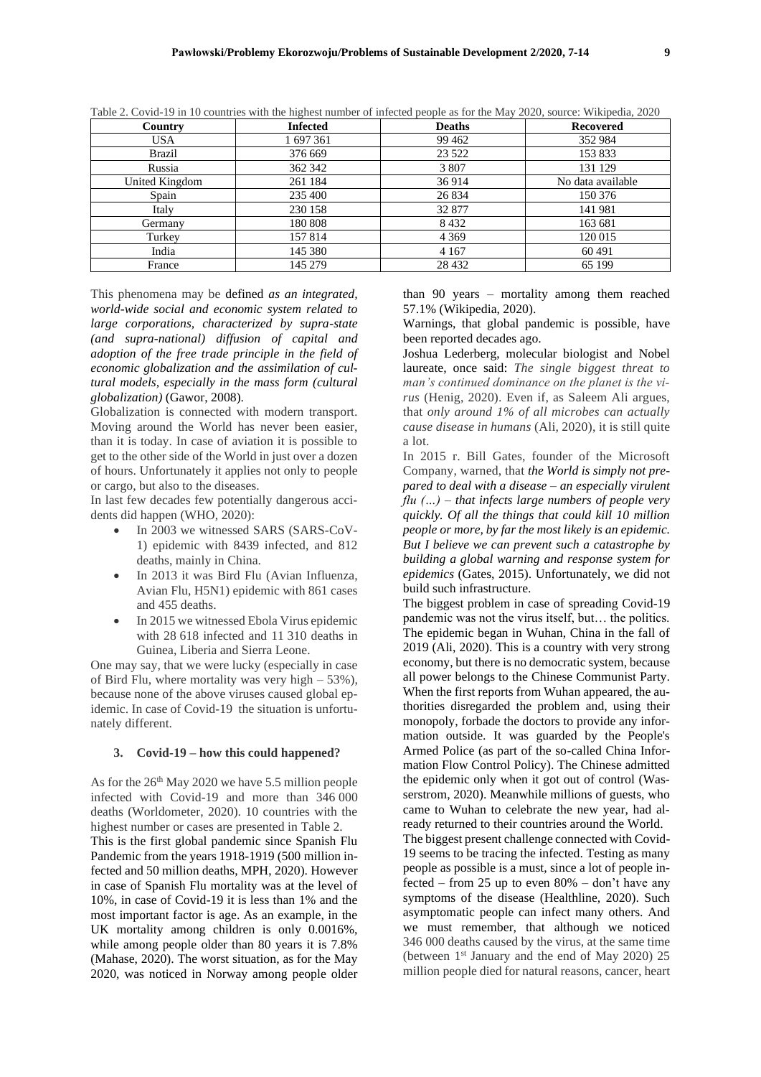| Country        | <b>Infected</b> | <b>Deaths</b> | <b>Recovered</b>  |
|----------------|-----------------|---------------|-------------------|
| <b>USA</b>     | 1 697 361       | 99 4 62       | 352 984           |
| Brazil         | 376 669         | 23 5 22       | 153 833           |
| Russia         | 362 342         | 3 807         | 131 129           |
| United Kingdom | 261 184         | 36914         | No data available |
| Spain          | 235 400         | 26 8 34       | 150 376           |
| Italy          | 230 158         | 32 877        | 141 981           |
| Germany        | 180 808         | 8432          | 163 681           |
| Turkey         | 157 814         | 4 3 6 9       | 120 015           |
| India          | 145 380         | 4 1 6 7       | 60491             |
| France         | 145 279         | 28 4 32       | 65 199            |

Table 2. Covid-19 in 10 countries with the highest number of infected people as for the May 2020, source: Wikipedia, 2020

This phenomena may be defined *as an integrated, world-wide social and economic system related to large corporations, characterized by supra-state (and supra-national) diffusion of capital and adoption of the free trade principle in the field of economic globalization and the assimilation of cultural models, especially in the mass form (cultural globalization)* (Gawor, 2008).

Globalization is connected with modern transport. Moving around the World has never been easier, than it is today. In case of aviation it is possible to get to the other side of the World in just over a dozen of hours. Unfortunately it applies not only to people or cargo, but also to the diseases.

In last few decades few potentially dangerous accidents did happen (WHO, 2020):

- In 2003 we witnessed SARS (SARS-CoV-1) epidemic with 8439 infected, and 812 deaths, mainly in China.
- In 2013 it was Bird Flu (Avian Influenza, Avian Flu, H5N1) epidemic with 861 cases and 455 deaths.
- In 2015 we witnessed Ebola Virus epidemic with 28 618 infected and 11 310 deaths in Guinea, Liberia and Sierra Leone.

One may say, that we were lucky (especially in case of Bird Flu, where mortality was very high  $-53\%$ ), because none of the above viruses caused global epidemic. In case of Covid-19 the situation is unfortunately different.

#### **3. Covid-19 – how this could happened?**

As for the 26th May 2020 we have 5.5 million people infected with Covid-19 and more than 346 000 deaths (Worldometer, 2020). 10 countries with the highest number or cases are presented in Table 2. This is the first global pandemic since Spanish Flu Pandemic from the years 1918-1919 (500 million infected and 50 million deaths, MPH, 2020). However in case of Spanish Flu mortality was at the level of 10%, in case of Covid-19 it is less than 1% and the most important factor is age. As an example, in the UK mortality among children is only 0.0016%, while among people older than 80 years it is 7.8% (Mahase, 2020). The worst situation, as for the May 2020, was noticed in Norway among people older

than 90 years – mortality among them reached 57.1% (Wikipedia, 2020).

Warnings, that global pandemic is possible, have been reported decades ago.

Joshua Lederberg, molecular biologist and Nobel laureate, once said: *The single biggest threat to man's continued dominance on the planet is the virus* (Henig, 2020). Even if, as Saleem Ali argues, that *only around 1% of all microbes can actually cause disease in humans* (Ali, 2020), it is still quite a lot.

In 2015 r. Bill Gates, founder of the Microsoft Company, warned, that *the World is simply not prepared to deal with a disease – an especially virulent flu (…) – that infects large numbers of people very quickly. Of all the things that could kill 10 million people or more, by far the most likely is an epidemic. But I believe we can prevent such a catastrophe by building a global warning and response system for epidemics* (Gates, 2015). Unfortunately, we did not build such infrastructure.

The biggest problem in case of spreading Covid-19 pandemic was not the virus itself, but… the politics. The epidemic began in Wuhan, China in the fall of 2019 (Ali, 2020). This is a country with very strong economy, but there is no democratic system, because all power belongs to the Chinese Communist Party. When the first reports from Wuhan appeared, the authorities disregarded the problem and, using their monopoly, forbade the doctors to provide any information outside. It was guarded by the People's Armed Police (as part of the so-called China Information Flow Control Policy). The Chinese admitted the epidemic only when it got out of control (Wasserstrom, 2020). Meanwhile millions of guests, who came to Wuhan to celebrate the new year, had already returned to their countries around the World. The biggest present challenge connected with Covid-19 seems to be tracing the infected. Testing as many people as possible is a must, since a lot of people infected – from 25 up to even  $80\%$  – don't have any symptoms of the disease (Healthline, 2020). Such asymptomatic people can infect many others. And we must remember, that although we noticed 346 000 deaths caused by the virus, at the same time (between  $1<sup>st</sup>$  January and the end of May 2020) 25 million people died for natural reasons, cancer, heart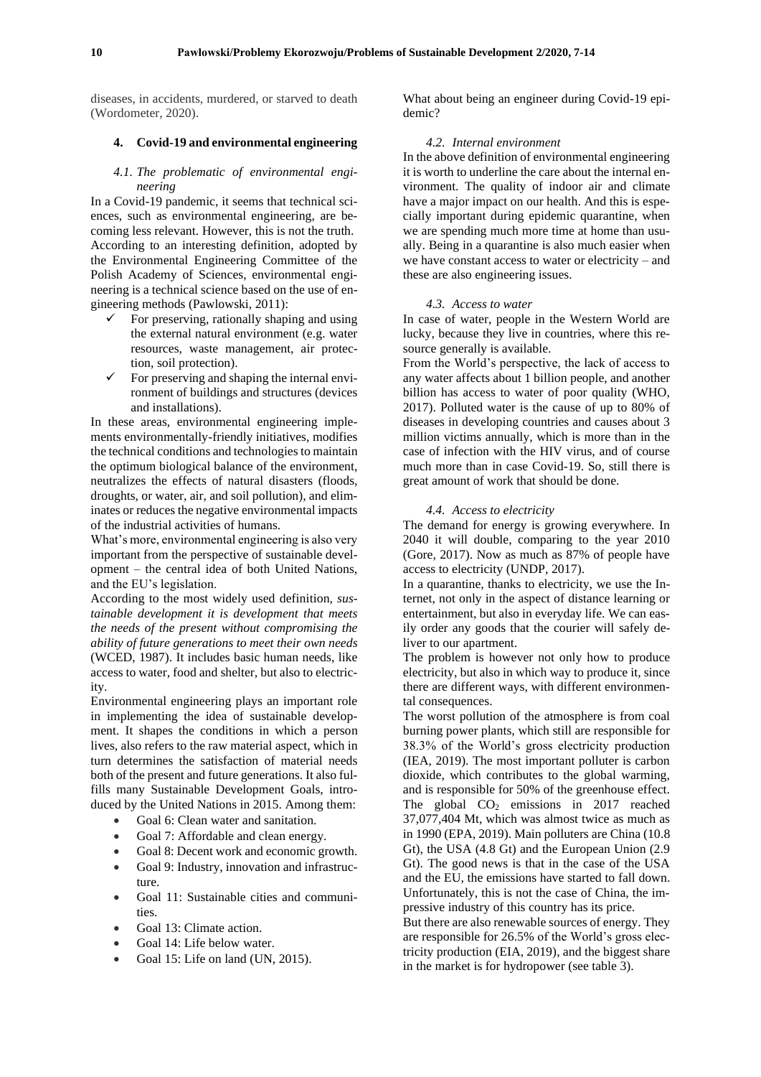diseases, in accidents, murdered, or starved to death (Wordometer, 2020).

#### **4. Covid-19 and environmental engineering**

#### *4.1. The problematic of environmental engineering*

In a Covid-19 pandemic, it seems that technical sciences, such as environmental engineering, are becoming less relevant. However, this is not the truth. According to an interesting definition, adopted by the Environmental Engineering Committee of the Polish Academy of Sciences, environmental engineering is a technical science based on the use of engineering methods (Pawlowski, 2011):

- For preserving, rationally shaping and using the external natural environment (e.g. water resources, waste management, air protection, soil protection).
- For preserving and shaping the internal environment of buildings and structures (devices and installations).

In these areas, environmental engineering implements environmentally-friendly initiatives, modifies the technical conditions and technologies to maintain the optimum biological balance of the environment, neutralizes the effects of natural disasters (floods, droughts, or water, air, and soil pollution), and eliminates or reduces the negative environmental impacts of the industrial activities of humans.

What's more, environmental engineering is also very important from the perspective of sustainable development – the central idea of both United Nations, and the EU's legislation.

According to the most widely used definition, *sustainable development it is development that meets the needs of the present without compromising the ability of future generations to meet their own needs* (WCED, 1987). It includes basic human needs, like access to water, food and shelter, but also to electricity.

Environmental engineering plays an important role in implementing the idea of sustainable development. It shapes the conditions in which a person lives, also refers to the raw material aspect, which in turn determines the satisfaction of material needs both of the present and future generations. It also fulfills many Sustainable Development Goals, introduced by the United Nations in 2015. Among them:

- Goal 6: Clean water and sanitation.
- Goal 7: Affordable and clean energy.
- Goal 8: Decent work and economic growth.
- Goal 9: Industry, innovation and infrastructure.
- Goal 11: Sustainable cities and communities.
- Goal 13: Climate action.
- Goal 14: Life below water.
- Goal 15: Life on land (UN, 2015).

What about being an engineer during Covid-19 epidemic?

#### *4.2. Internal environment*

In the above definition of environmental engineering it is worth to underline the care about the internal environment. The quality of indoor air and climate have a major impact on our health. And this is especially important during epidemic quarantine, when we are spending much more time at home than usually. Being in a quarantine is also much easier when we have constant access to water or electricity – and these are also engineering issues.

#### *4.3. Access to water*

In case of water, people in the Western World are lucky, because they live in countries, where this resource generally is available.

From the World's perspective, the lack of access to any water affects about 1 billion people, and another billion has access to water of poor quality (WHO, 2017). Polluted water is the cause of up to 80% of diseases in developing countries and causes about 3 million victims annually, which is more than in the case of infection with the HIV virus, and of course much more than in case Covid-19. So, still there is great amount of work that should be done.

#### *4.4. Access to electricity*

The demand for energy is growing everywhere. In 2040 it will double, comparing to the year 2010 (Gore, 2017). Now as much as 87% of people have access to electricity (UNDP, 2017).

In a quarantine, thanks to electricity, we use the Internet, not only in the aspect of distance learning or entertainment, but also in everyday life. We can easily order any goods that the courier will safely deliver to our apartment.

The problem is however not only how to produce electricity, but also in which way to produce it, since there are different ways, with different environmental consequences.

The worst pollution of the atmosphere is from coal burning power plants, which still are responsible for 38.3% of the World's gross electricity production (IEA, 2019). The most important polluter is carbon dioxide, which contributes to the global warming, and is responsible for 50% of the greenhouse effect. The global  $CO<sub>2</sub>$  emissions in 2017 reached 37,077,404 Mt, which was almost twice as much as in 1990 (EPA, 2019). Main polluters are China (10.8 Gt), the USA (4.8 Gt) and the European Union (2.9 Gt). The good news is that in the case of the USA and the EU, the emissions have started to fall down. Unfortunately, this is not the case of China, the impressive industry of this country has its price.

But there are also renewable sources of energy. They are responsible for 26.5% of the World's gross electricity production (EIA, 2019), and the biggest share in the market is for hydropower (see table 3).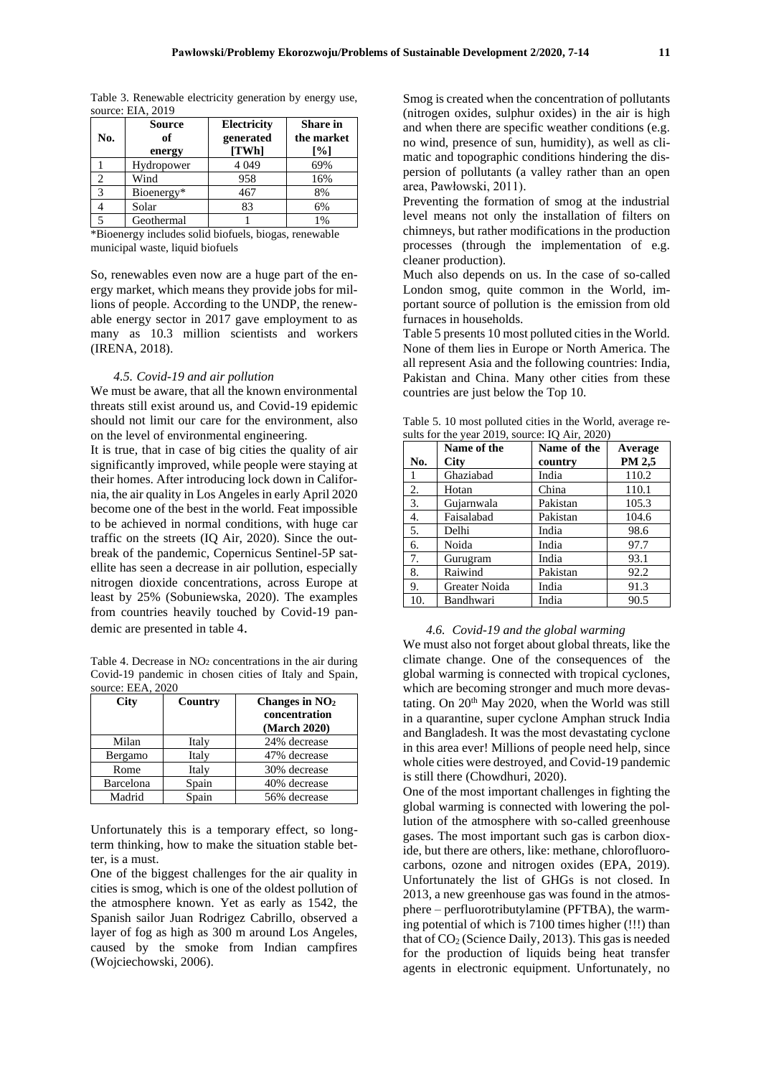| No.                           | <b>Source</b><br>of<br>energy | Electricity<br>generated<br>[TWh] | <b>Share</b> in<br>the market<br>[%] |
|-------------------------------|-------------------------------|-----------------------------------|--------------------------------------|
|                               | Hydropower                    | 4 0 4 9                           | 69%                                  |
| $\mathfrak{D}_{\mathfrak{p}}$ | Wind                          | 958                               | 16%                                  |
| 3                             | Bioenergy*                    | 467                               | 8%                                   |
|                               | Solar                         | 83                                | 6%                                   |
|                               | Geothermal                    |                                   | 1%                                   |

Table 3. Renewable electricity generation by energy use,  $source \cdot FIA$ , 2010

\*Bioenergy includes solid biofuels, biogas, renewable municipal waste, liquid biofuels

So, renewables even now are a huge part of the energy market, which means they provide jobs for millions of people. According to the UNDP, the renewable energy sector in 2017 gave employment to as many as 10.3 million scientists and workers (IRENA, 2018).

#### *4.5. Covid-19 and air pollution*

We must be aware, that all the known environmental threats still exist around us, and Covid-19 epidemic should not limit our care for the environment, also on the level of environmental engineering.

It is true, that in case of big cities the quality of air significantly improved, while people were staying at their homes. After introducing lock down in California, the air quality in Los Angeles in early April 2020 become one of the best in the world. Feat impossible to be achieved in normal conditions, with huge car traffic on the streets (IQ Air, 2020). Since the outbreak of the pandemic, Copernicus Sentinel-5P satellite has seen a decrease in air pollution, especially nitrogen dioxide concentrations, across Europe at least by 25% (Sobuniewska, 2020). The examples from countries heavily touched by Covid-19 pandemic are presented in table 4.

Table 4. Decrease in  $NO<sub>2</sub>$  concentrations in the air during Covid-19 pandemic in chosen cities of Italy and Spain, source: EEA, 2020

| City      | Country | Changes in $NO2$<br>concentration<br>(March 2020) |
|-----------|---------|---------------------------------------------------|
| Milan     | Italy   | 24% decrease                                      |
| Bergamo   | Italy   | 47% decrease                                      |
| Rome      | Italy   | 30% decrease                                      |
| Barcelona | Spain   | 40% decrease                                      |
| Madrid    | Spain   | 56% decrease                                      |

Unfortunately this is a temporary effect, so longterm thinking, how to make the situation stable better, is a must.

One of the biggest challenges for the air quality in cities is smog, which is one of the oldest pollution of the atmosphere known. Yet as early as 1542, the Spanish sailor Juan Rodrigez Cabrillo, observed a layer of fog as high as 300 m around Los Angeles, caused by the smoke from Indian campfires (Wojciechowski, 2006).

Smog is created when the concentration of pollutants (nitrogen oxides, sulphur oxides) in the air is high and when there are specific weather conditions (e.g. no wind, presence of sun, humidity), as well as climatic and topographic conditions hindering the dispersion of pollutants (a valley rather than an open area, Pawłowski, 2011).

Preventing the formation of smog at the industrial level means not only the installation of filters on chimneys, but rather modifications in the production processes (through the implementation of e.g. cleaner production).

Much also depends on us. In the case of so-called London smog, quite common in the World, important source of pollution is the emission from old furnaces in households.

Table 5 presents 10 most polluted cities in the World. None of them lies in Europe or North America. The all represent Asia and the following countries: India, Pakistan and China. Many other cities from these countries are just below the Top 10.

Table 5. 10 most polluted cities in the World, average results for the year  $2019$ , source: IQ Air,  $2020$ )

|     | Name of the   | Name of the | Average |
|-----|---------------|-------------|---------|
| No. | <b>City</b>   | country     | PM 2,5  |
| 1   | Ghaziabad     | India       | 110.2   |
| 2.  | Hotan         | China       | 110.1   |
| 3.  | Gujarnwala    | Pakistan    | 105.3   |
| 4.  | Faisalabad    | Pakistan    | 104.6   |
| 5.  | Delhi         | India       | 98.6    |
| 6.  | Noida         | India       | 97.7    |
| 7.  | Gurugram      | India       | 93.1    |
| 8.  | Raiwind       | Pakistan    | 92.2    |
| 9.  | Greater Noida | India       | 91.3    |
| 10. | Bandhwari     | India       | 90.5    |

#### *4.6. Covid-19 and the global warming*

We must also not forget about global threats, like the climate change. One of the consequences of the global warming is connected with tropical cyclones, which are becoming stronger and much more devastating. On  $20<sup>th</sup>$  May 2020, when the World was still in a quarantine, super cyclone Amphan struck India and Bangladesh. It was the most devastating cyclone in this area ever! Millions of people need help, since whole cities were destroyed, and Covid-19 pandemic is still there (Chowdhuri, 2020).

One of the most important challenges in fighting the global warming is connected with lowering the pollution of the atmosphere with so-called greenhouse gases. The most important such gas is carbon dioxide, but there are others, like: methane, chlorofluorocarbons, ozone and nitrogen oxides (EPA, 2019). Unfortunately the list of GHGs is not closed. In 2013, a new greenhouse gas was found in the atmosphere – perfluorotributylamine (PFTBA), the warming potential of which is 7100 times higher (!!!) than that of  $CO<sub>2</sub>$  (Science Daily, 2013). This gas is needed for the production of liquids being heat transfer agents in electronic equipment. Unfortunately, no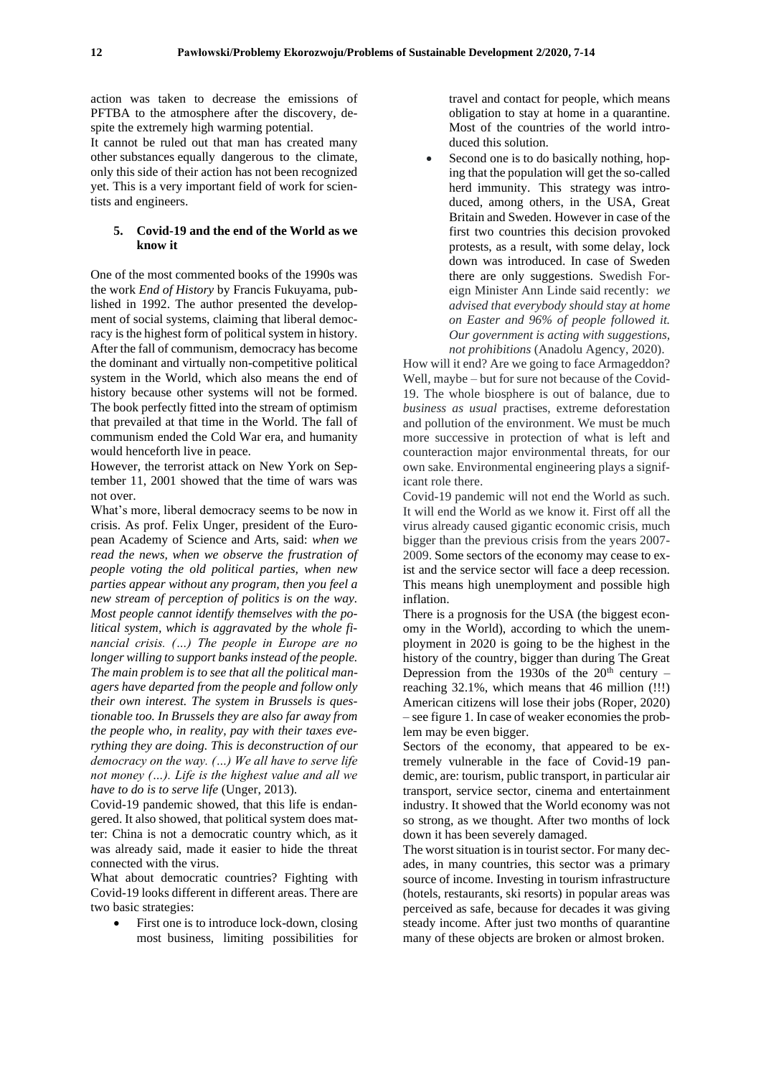action was taken to decrease the emissions of PFTBA to the atmosphere after the discovery, despite the extremely high warming potential.

It cannot be ruled out that man has created many other substances equally dangerous to the climate, only this side of their action has not been recognized yet. This is a very important field of work for scientists and engineers.

### **5. Covid-19 and the end of the World as we know it**

One of the most commented books of the 1990s was the work *End of History* by Francis Fukuyama, published in 1992. The author presented the development of social systems, claiming that liberal democracy is the highest form of political system in history. After the fall of communism, democracy has become the dominant and virtually non-competitive political system in the World, which also means the end of history because other systems will not be formed. The book perfectly fitted into the stream of optimism that prevailed at that time in the World. The fall of communism ended the Cold War era, and humanity would henceforth live in peace.

However, the terrorist attack on New York on September 11, 2001 showed that the time of wars was not over.

What's more, liberal democracy seems to be now in crisis. As prof. Felix Unger, president of the European Academy of Science and Arts, said: *when we read the news, when we observe the frustration of people voting the old political parties, when new parties appear without any program, then you feel a new stream of perception of politics is on the way. Most people cannot identify themselves with the political system, which is aggravated by the whole financial crisis. (…) The people in Europe are no longer willing to support banks instead of the people. The main problem is to see that all the political managers have departed from the people and follow only their own interest. The system in Brussels is questionable too. In Brussels they are also far away from the people who, in reality, pay with their taxes everything they are doing. This is deconstruction of our democracy on the way. (…) We all have to serve life not money (…). Life is the highest value and all we have to do is to serve life* (Unger, 2013).

Covid-19 pandemic showed, that this life is endangered. It also showed, that political system does matter: China is not a democratic country which, as it was already said, made it easier to hide the threat connected with the virus.

What about democratic countries? Fighting with Covid-19 looks different in different areas. There are two basic strategies:

• First one is to introduce lock-down, closing most business, limiting possibilities for

travel and contact for people, which means obligation to stay at home in a quarantine. Most of the countries of the world introduced this solution.

Second one is to do basically nothing, hoping that the population will get the so-called herd immunity. This strategy was introduced, among others, in the USA, Great Britain and Sweden. However in case of the first two countries this decision provoked protests, as a result, with some delay, lock down was introduced. In case of Sweden there are only suggestions. Swedish Foreign Minister Ann Linde said recently: *we advised that everybody should stay at home on Easter and 96% of people followed it. Our government is acting with suggestions, not prohibitions* (Anadolu Agency, 2020).

How will it end? Are we going to face Armageddon? Well, maybe – but for sure not because of the Covid-19. The whole biosphere is out of balance, due to *business as usual* practises, extreme deforestation and pollution of the environment. We must be much more successive in protection of what is left and counteraction major environmental threats, for our own sake. Environmental engineering plays a significant role there.

Covid-19 pandemic will not end the World as such. It will end the World as we know it. First off all the virus already caused gigantic economic crisis, much bigger than the previous crisis from the years 2007- 2009. Some sectors of the economy may cease to exist and the service sector will face a deep recession. This means high unemployment and possible high inflation.

There is a prognosis for the USA (the biggest economy in the World), according to which the unemployment in 2020 is going to be the highest in the history of the country, bigger than during The Great Depression from the  $1930s$  of the  $20<sup>th</sup>$  century – reaching 32.1%, which means that 46 million (!!!) American citizens will lose their jobs (Roper, 2020) – see figure 1. In case of weaker economies the problem may be even bigger.

Sectors of the economy, that appeared to be extremely vulnerable in the face of Covid-19 pandemic, are: tourism, public transport, in particular air transport, service sector, cinema and entertainment industry. It showed that the World economy was not so strong, as we thought. After two months of lock down it has been severely damaged.

The worst situation is in tourist sector. For many decades, in many countries, this sector was a primary source of income. Investing in tourism infrastructure (hotels, restaurants, ski resorts) in popular areas was perceived as safe, because for decades it was giving steady income. After just two months of quarantine many of these objects are broken or almost broken.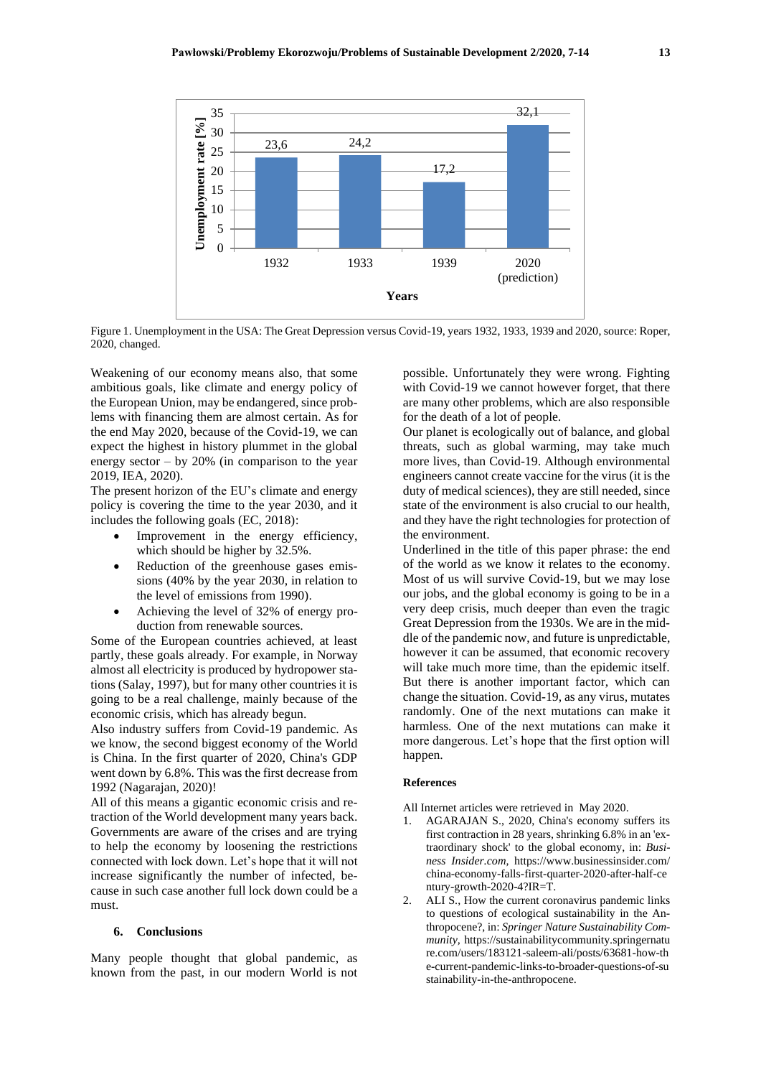

Figure 1. Unemployment in the USA: The Great Depression versus Covid-19, years 1932, 1933, 1939 and 2020, source: Roper, 2020, changed.

Weakening of our economy means also, that some ambitious goals, like climate and energy policy of the European Union, may be endangered, since problems with financing them are almost certain. As for the end May 2020, because of the Covid-19, we can expect the highest in history plummet in the global energy sector  $-$  by 20% (in comparison to the year 2019, IEA, 2020).

The present horizon of the EU's climate and energy policy is covering the time to the year 2030, and it includes the following goals (EC, 2018):

- Improvement in the energy efficiency, which should be higher by 32.5%.
- Reduction of the greenhouse gases emissions (40% by the year 2030, in relation to the level of emissions from 1990).
- Achieving the level of 32% of energy production from renewable sources.

Some of the European countries achieved, at least partly, these goals already. For example, in Norway almost all electricity is produced by hydropower stations (Salay, 1997), but for many other countries it is going to be a real challenge, mainly because of the economic crisis, which has already begun.

Also industry suffers from Covid-19 pandemic. As we know, the second biggest economy of the World is China. In the first quarter of 2020, China's GDP went down by 6.8%. This was the first decrease from 1992 (Nagarajan, 2020)!

All of this means a gigantic economic crisis and retraction of the World development many years back. Governments are aware of the crises and are trying to help the economy by loosening the restrictions connected with lock down. Let's hope that it will not increase significantly the number of infected, because in such case another full lock down could be a must.

#### **6. Conclusions**

Many people thought that global pandemic, as known from the past, in our modern World is not possible. Unfortunately they were wrong. Fighting with Covid-19 we cannot however forget, that there are many other problems, which are also responsible for the death of a lot of people.

Our planet is ecologically out of balance, and global threats, such as global warming, may take much more lives, than Covid-19. Although environmental engineers cannot create vaccine for the virus (it is the duty of medical sciences), they are still needed, since state of the environment is also crucial to our health, and they have the right technologies for protection of the environment.

Underlined in the title of this paper phrase: the end of the world as we know it relates to the economy. Most of us will survive Covid-19, but we may lose our jobs, and the global economy is going to be in a very deep crisis, much deeper than even the tragic Great Depression from the 1930s. We are in the middle of the pandemic now, and future is unpredictable, however it can be assumed, that economic recovery will take much more time, than the epidemic itself. But there is another important factor, which can change the situation. Covid-19, as any virus, mutates randomly. One of the next mutations can make it harmless. One of the next mutations can make it more dangerous. Let's hope that the first option will happen.

#### **References**

All Internet articles were retrieved in May 2020.

- 1. AGARAJAN S., 2020, China's economy suffers its first contraction in 28 years, shrinking 6.8% in an 'extraordinary shock' to the global economy, in: *Business Insider.com,* https://www.businessinsider.com/ china-economy-falls-first-quarter-2020-after-half-ce ntury-growth-2020-4?IR=T.
- 2. ALI S., How the current coronavirus pandemic links to questions of ecological sustainability in the Anthropocene?, in: *Springer Nature Sustainability Community,* https://sustainabilitycommunity.springernatu re.com/users/183121-saleem-ali/posts/63681-how-th e-current-pandemic-links-to-broader-questions-of-su stainability-in-the-anthropocene.